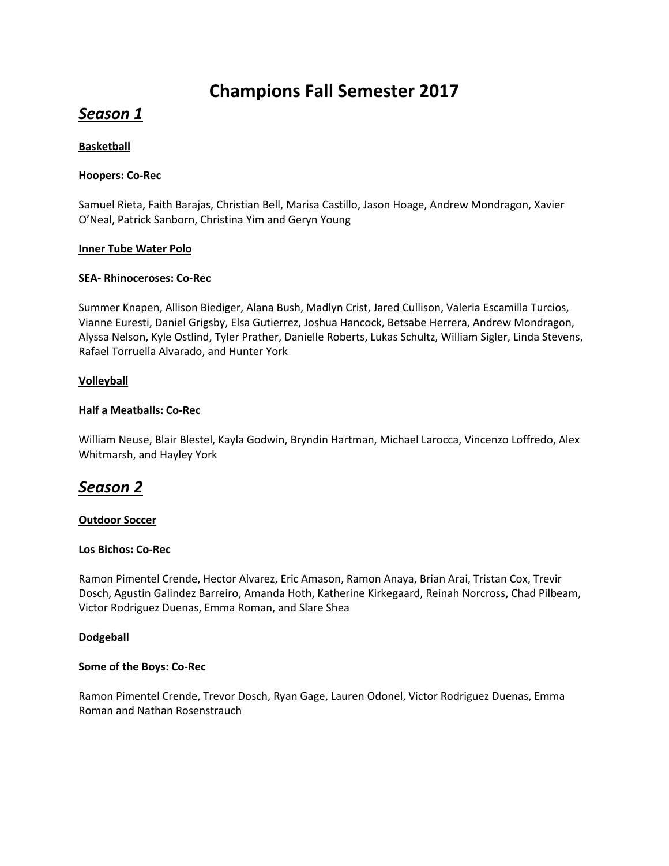# **Champions Fall Semester 2017**

# *Season 1*

# **Basketball**

## **Hoopers: Co-Rec**

Samuel Rieta, Faith Barajas, Christian Bell, Marisa Castillo, Jason Hoage, Andrew Mondragon, Xavier O'Neal, Patrick Sanborn, Christina Yim and Geryn Young

#### **Inner Tube Water Polo**

## **SEA- Rhinoceroses: Co-Rec**

Summer Knapen, Allison Biediger, Alana Bush, Madlyn Crist, Jared Cullison, Valeria Escamilla Turcios, Vianne Euresti, Daniel Grigsby, Elsa Gutierrez, Joshua Hancock, Betsabe Herrera, Andrew Mondragon, Alyssa Nelson, Kyle Ostlind, Tyler Prather, Danielle Roberts, Lukas Schultz, William Sigler, Linda Stevens, Rafael Torruella Alvarado, and Hunter York

## **Volleyball**

## **Half a Meatballs: Co-Rec**

William Neuse, Blair Blestel, Kayla Godwin, Bryndin Hartman, Michael Larocca, Vincenzo Loffredo, Alex Whitmarsh, and Hayley York

# *Season 2*

#### **Outdoor Soccer**

#### **Los Bichos: Co-Rec**

Ramon Pimentel Crende, Hector Alvarez, Eric Amason, Ramon Anaya, Brian Arai, Tristan Cox, Trevir Dosch, Agustin Galindez Barreiro, Amanda Hoth, Katherine Kirkegaard, Reinah Norcross, Chad Pilbeam, Victor Rodriguez Duenas, Emma Roman, and Slare Shea

# **Dodgeball**

#### **Some of the Boys: Co-Rec**

Ramon Pimentel Crende, Trevor Dosch, Ryan Gage, Lauren Odonel, Victor Rodriguez Duenas, Emma Roman and Nathan Rosenstrauch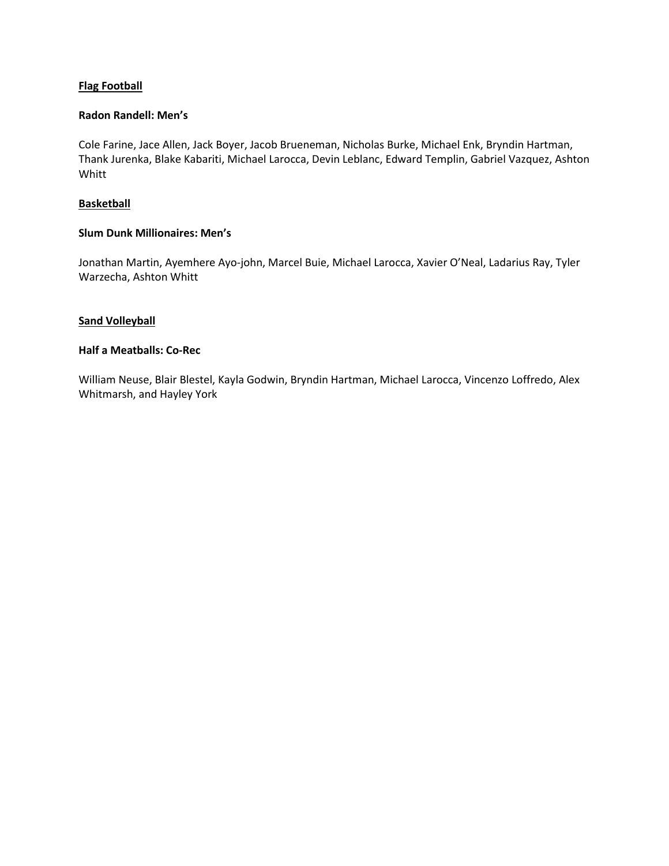# **Flag Football**

#### **Radon Randell: Men's**

Cole Farine, Jace Allen, Jack Boyer, Jacob Brueneman, Nicholas Burke, Michael Enk, Bryndin Hartman, Thank Jurenka, Blake Kabariti, Michael Larocca, Devin Leblanc, Edward Templin, Gabriel Vazquez, Ashton Whitt

## **Basketball**

## **Slum Dunk Millionaires: Men's**

Jonathan Martin, Ayemhere Ayo-john, Marcel Buie, Michael Larocca, Xavier O'Neal, Ladarius Ray, Tyler Warzecha, Ashton Whitt

## **Sand Volleyball**

### **Half a Meatballs: Co-Rec**

William Neuse, Blair Blestel, Kayla Godwin, Bryndin Hartman, Michael Larocca, Vincenzo Loffredo, Alex Whitmarsh, and Hayley York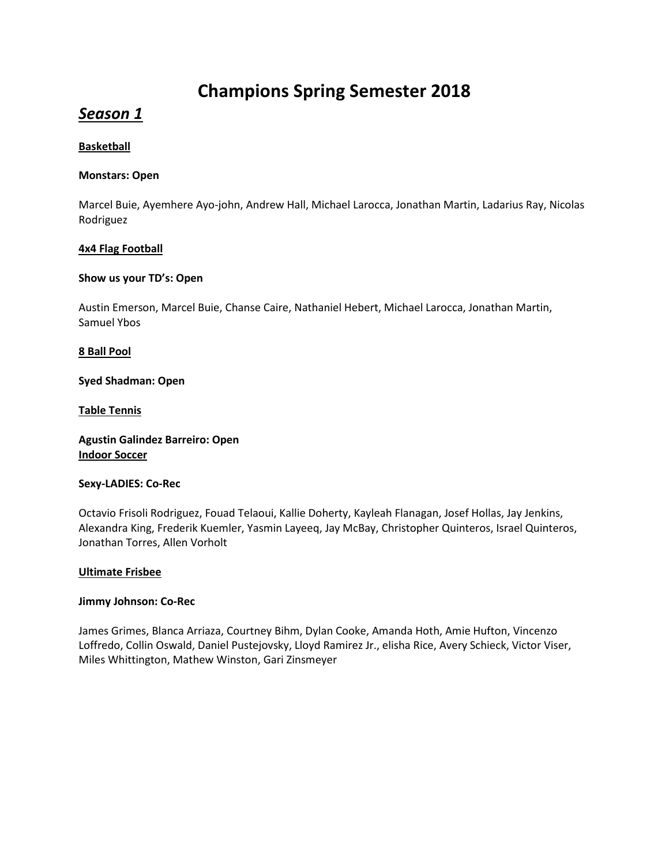# **Champions Spring Semester 2018**

# *Season 1*

## **Basketball**

## **Monstars: Open**

Marcel Buie, Ayemhere Ayo-john, Andrew Hall, Michael Larocca, Jonathan Martin, Ladarius Ray, Nicolas Rodriguez

## **4x4 Flag Football**

## **Show us your TD's: Open**

Austin Emerson, Marcel Buie, Chanse Caire, Nathaniel Hebert, Michael Larocca, Jonathan Martin, Samuel Ybos

## **8 Ball Pool**

**Syed Shadman: Open**

**Table Tennis**

**Agustin Galindez Barreiro: Open Indoor Soccer**

#### **Sexy-LADIES: Co-Rec**

Octavio Frisoli Rodriguez, Fouad Telaoui, Kallie Doherty, Kayleah Flanagan, Josef Hollas, Jay Jenkins, Alexandra King, Frederik Kuemler, Yasmin Layeeq, Jay McBay, Christopher Quinteros, Israel Quinteros, Jonathan Torres, Allen Vorholt

#### **Ultimate Frisbee**

#### **Jimmy Johnson: Co-Rec**

James Grimes, Blanca Arriaza, Courtney Bihm, Dylan Cooke, Amanda Hoth, Amie Hufton, Vincenzo Loffredo, Collin Oswald, Daniel Pustejovsky, Lloyd Ramirez Jr., elisha Rice, Avery Schieck, Victor Viser, Miles Whittington, Mathew Winston, Gari Zinsmeyer